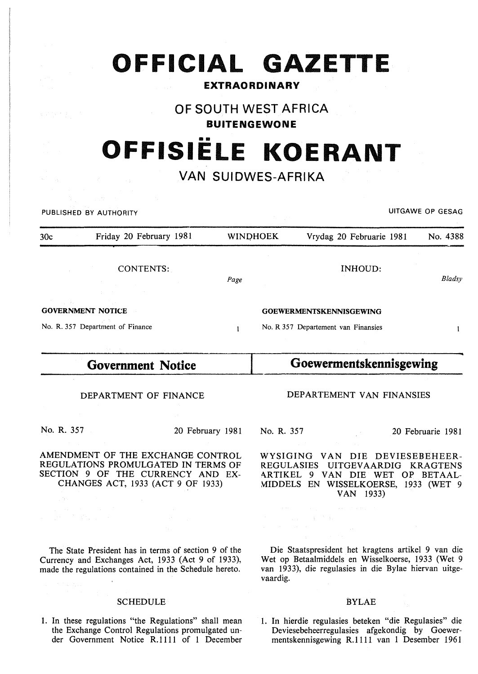# **OFFICIAL GAZETTE**

### **EXTRAORDINARY**

## **OF SOUTH WEST AFRICA**

**BUITENGEWONE** 

## •• **OFFISIELE KOERANT**

## **VAN SUIDWES-AFRIKA**

PUBLISHED BY AUTHORITY **EXECUTE A SECURE 2018 THE SECURE 2019 THE SECURE 2019 THE SECURE 2019 THE SECURE 2019** 

| 30c                                                                                                                                                                                                                                                                                                                                                                                                                                                                                  | Friday 20 February 1981                        | <b>WINDHOEK</b>                | Vrydag 20 Februarie 1981            | No. 4388 |  |
|--------------------------------------------------------------------------------------------------------------------------------------------------------------------------------------------------------------------------------------------------------------------------------------------------------------------------------------------------------------------------------------------------------------------------------------------------------------------------------------|------------------------------------------------|--------------------------------|-------------------------------------|----------|--|
|                                                                                                                                                                                                                                                                                                                                                                                                                                                                                      | CONTENTS:<br>the company of the company of the | Page                           | INHOUD:                             | Bladsy   |  |
| $\label{eq:2.1} \mathcal{L}(\mathcal{L}^{\mathcal{L}}(\mathcal{L}^{\mathcal{L}}(\mathcal{L}^{\mathcal{L}}(\mathcal{L}^{\mathcal{L}}(\mathcal{L}^{\mathcal{L}}(\mathcal{L}^{\mathcal{L}}(\mathcal{L}^{\mathcal{L}}(\mathcal{L}^{\mathcal{L}}(\mathcal{L}^{\mathcal{L}}(\mathcal{L}^{\mathcal{L}}(\mathcal{L}^{\mathcal{L}}(\mathcal{L}^{\mathcal{L}}(\mathcal{L}^{\mathcal{L}}(\mathcal{L}^{\mathcal{L}}(\mathcal{L}^{\mathcal{L}}(\mathcal{L}^{\mathcal$<br><b>GOVERNMENT NOTICE</b> |                                                | <b>GOEWERMENTSKENNISGEWING</b> |                                     |          |  |
| No. R. 357 Department of Finance                                                                                                                                                                                                                                                                                                                                                                                                                                                     |                                                |                                | No. R 357 Departement van Finansies |          |  |

## **Government Notice**

DEPARTMENT OF FINANCE

No. R. 357 20 February 1981

AMENDMENT OF THE EXCHANGE CONTROL REGULATIONS PROMULGATED IN TERMS OF SECTION 9 OF THE CURRENCY AND EX-CHANGES ACT, 1933 (ACT 9 OF 1933)

The State President has in terms of section 9 of the Currency and Exchanges Act, 1933 (Act 9 of 1933), made the regulations contained in the Schedule hereto.

#### SCHEDULE

1. In these regulations "the Regulations" shall mean the Exchange Control Regulations promulgated under Government Notice R.1111 of 1 December

**Goewermentskennisgewing** 

#### DEPARTEMENT VAN FINANSIES

No. R. 357 20 Februarie 1981

WYSIGING VAN DIE DEVIESEBEHEER-REGULASIES UITGEVAARDIG KRAGTENS ARTIKEL 9 VAN DIE WET OP BETAAL-MIDDELS EN WISSELKOERSE, 1933 (WET 9 VAN 1933)

Die Staatspresident het kragtens artikel 9 van die Wet op Betaalmiddels en Wisselkoerse, 1933 (Wet 9 van 1933), die regulasies in die Bylae hiervan uitgevaardig.

#### BYLAE

1. In hierdie regulasies beteken "die Regulasies" die Deviesebeheerregulasies afgekondig by Goewermentskennisgewing R.1111 van 1 Desember 1961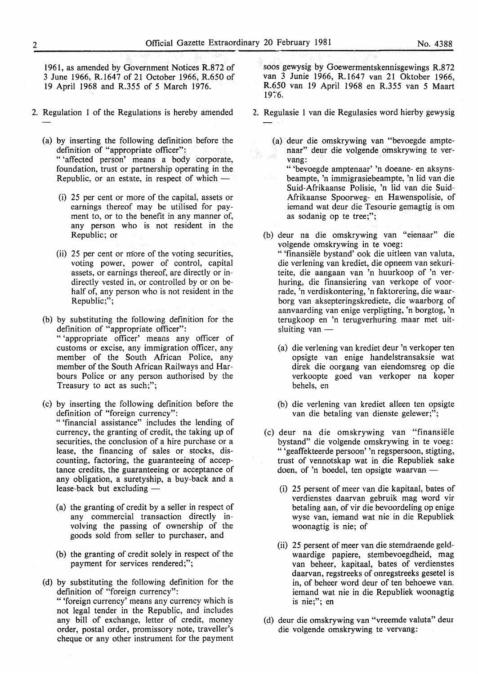1961, as amended by Government Notices R.872 of 3 June 1966, R.1647 of 21 October 1966, R.650 of 19 April 1968 and R.355 of 5 March 1976.

- 2. Regulation 1 of the Regulations is hereby amended
	- (a) by inserting the following definition before the definition of "appropriate officer": " 'affected person' means a body corporate, foundation, trust or partnership operating in the Republic, or an estate, in respect of which  $-$ 
		- (i) 25 per cent or more of the capital, assets or earnings thereof may be utilised for payment to, or to the benefit in any manner of, any person who is not resident in the Republic; or
		- (ii) 25 per cent or more of the voting securities, voting power, power of control, capital assets, or earnings thereof, are directly or indirectly vested in, or controlled by or on behalf of, any person who is not resident in the Republic;";
	- (b) by substituting the following definition for the definition of "appropriate officer": " 'appropriate officer' means any officer of customs or excise, any immigration officer, any member of the South African Police, any member of the South African Railways and Harbours Police or any person authorised by the Treasury to act as such;";
	- (c) by inserting the following definition before the definition of "foreign currency": " 'financial assistance" includes the lending of currency, the granting of credit, the taking up of securities, the conclusion of a hire purchase or a lease, the financing of sales or stocks, discounting, factoring, the guaranteeing of acceptance credits, the guaranteeing or acceptance of any obligation, a suretyship, a buy-back and a lease-back but excluding -
		- (a) the granting of credit by a seller in respect of any commercial transaction directly involving the passing of ownership of the goods sold from seller to purchaser, and
		- (b) the granting of credit solely in respect of the payment for services rendered;";
	- (d) by substituting the following definition for the definition of "foreign currency":

" 'foreign currency' means any currency which is not legal tender in the Republic, and includes any bill of exchange, letter of credit, money order, postal order, promissory note, traveller's cheque or any other instrument for the payment soos gewysig by Goewermentskennisgewings R.8 72 van 3 Junie 1966, R.1647 van 21 Oktober 1966, R.650 van 19 April 1968 en R.355 van 5 Maart 1976.

- 2. Regulasie 1 van die Regulasies word hierby gewysig
	- (a) deur die omskrywing van "bevoegde amptenaar" deur die volgende omskrywing te vervang:

" 'bevoegde amptenaar' 'n doeane- en aksynsbeampte, 'n immigrasiebeampte, 'n lid van die Suid-Afrikaanse Polisie, 'n lid van die Suid-Afrikaanse Spoorweg- en Hawenspolisie, of iemand wat deur die Tesourie gemagtig is om as sodanig op te tree;";

(b) deur na die omskrywing van "eienaar" die volgende omskrywing in te voeg:

" 'finansiele bystand' ook die uitleen van valuta, die verlening van krediet, die opneem van sekuriteite, die aangaan van 'n huurkoop of 'n verhuring, die finansiering van verkope of voorrade, 'n verdiskontering, 'n faktorering, die waarborg van aksepteringskrediete, die waarborg of aanvaarding van enige verpligting, 'n borgtog, 'n terugkoop en 'n terugverhuring maar met uitsluiting van  $-$ 

- (a) die verlening van krediet deur 'n verkoper ten opsigte van enige handelstransaksie wat direk die oorgang van eiendomsreg op die verkoopte goed van verkoper na koper behels, en
- (b) die verlening van krediet alleen ten opsigte van die betaling van dienste gelewer;";
- (c) deur na die omskrywing van "finansiele bystand" die volgende omskrywing in te voeg: "'geaffekteerde persoon' 'n regspersoon, stigting, trust of vennotskap wat in die Republiek sake doen, of 'n boedel, ten opsigte waarvan -
	- (i) 25 persent of meer van die kapitaal, bates of verdienstes daarvan gebruik mag word vir betaling aan, of vir die bevoordeling op enige wyse van, iemand wat nie in die Republiek woonagtig is nie; of
	- (ii) 25 persent of meer van die stemdraende geldwaardige papiere, stembevoegdheid, mag van beheer, kapitaal, bates of verdienstes daarvan, regstreeks of onregstreeks gesetel is in, of beheer word deur of ten behoewe van, iemand wat nie in die Republiek woonagtig is nie;"; en
- (d) deur die omskrywing van "vreemde valuta" deur die volgende omskrywing te vervang: